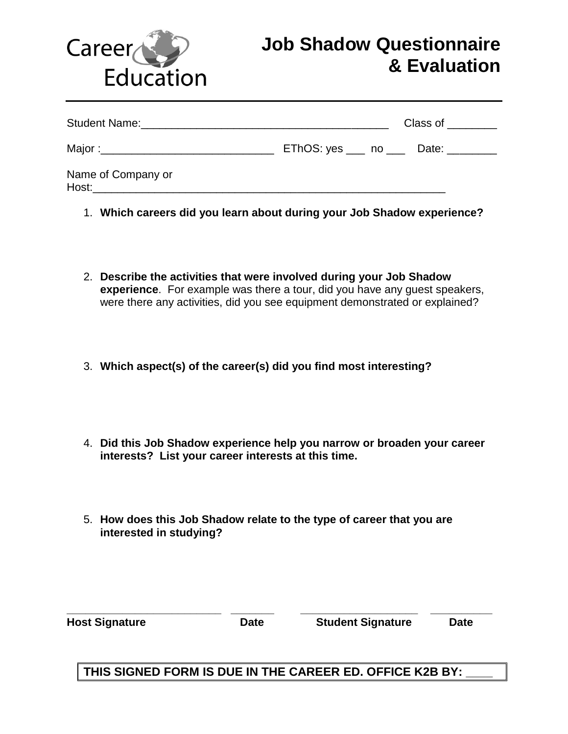

## **Job Shadow Questionnaire & Evaluation**

|                                                 |                                        | Class of $\frac{1}{2}$ |  |
|-------------------------------------------------|----------------------------------------|------------------------|--|
| Major :__________________________________       | EThOS: yes ____ no ____ Date: ________ |                        |  |
| Name of Company or<br><b>Host: Example 2018</b> |                                        |                        |  |

- 1. **Which careers did you learn about during your Job Shadow experience?**
- 2. **Describe the activities that were involved during your Job Shadow experience**. For example was there a tour, did you have any guest speakers, were there any activities, did you see equipment demonstrated or explained?
- 3. **Which aspect(s) of the career(s) did you find most interesting?**
- 4. **Did this Job Shadow experience help you narrow or broaden your career interests? List your career interests at this time.**
- 5. **How does this Job Shadow relate to the type of career that you are interested in studying?**

| <b>Host Signature</b> | <b>Date</b> | <b>Student Signature</b> | <b>Date</b> |  |
|-----------------------|-------------|--------------------------|-------------|--|
|                       |             |                          |             |  |

## **THIS SIGNED FORM IS DUE IN THE CAREER ED. OFFICE K2B BY: \_\_\_\_**